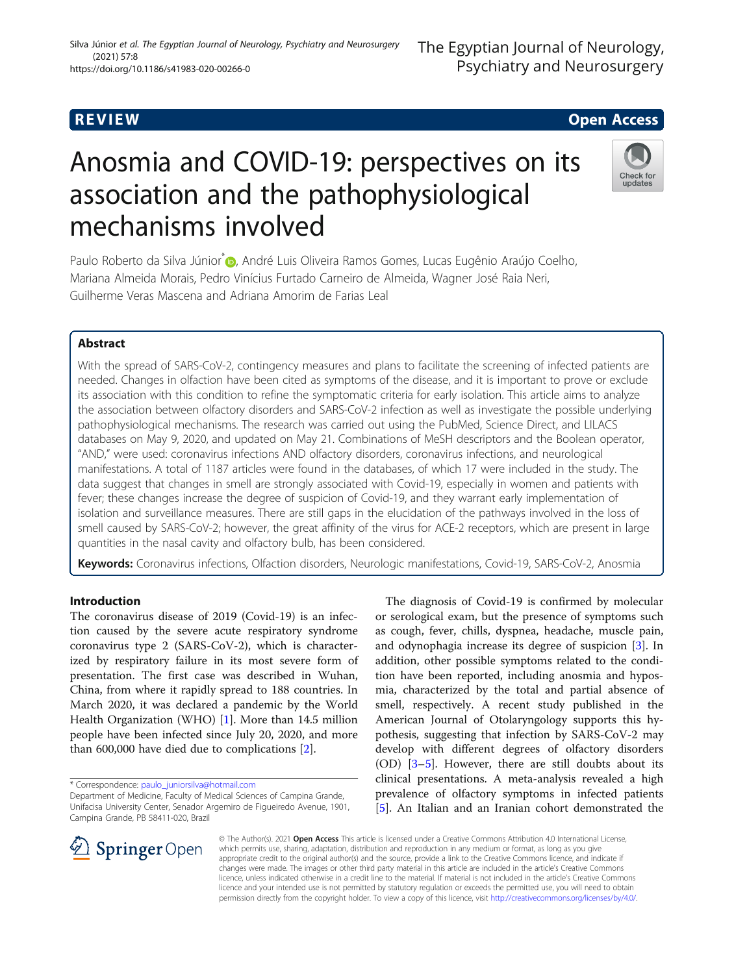# Anosmia and COVID-19: perspectives on its association and the pathophysiological mechanisms involved

Paulo Roberto da Silva Júnior<sup>\*</sup> [,](http://orcid.org/0000-0002-8488-0927) André Luis Oliveira Ramos Gomes, Lucas Eugênio Araújo Coelho, Mariana Almeida Morais, Pedro Vinícius Furtado Carneiro de Almeida, Wagner José Raia Neri, Guilherme Veras Mascena and Adriana Amorim de Farias Leal

## Abstract

With the spread of SARS-CoV-2, contingency measures and plans to facilitate the screening of infected patients are needed. Changes in olfaction have been cited as symptoms of the disease, and it is important to prove or exclude its association with this condition to refine the symptomatic criteria for early isolation. This article aims to analyze the association between olfactory disorders and SARS-CoV-2 infection as well as investigate the possible underlying pathophysiological mechanisms. The research was carried out using the PubMed, Science Direct, and LILACS databases on May 9, 2020, and updated on May 21. Combinations of MeSH descriptors and the Boolean operator, "AND," were used: coronavirus infections AND olfactory disorders, coronavirus infections, and neurological manifestations. A total of 1187 articles were found in the databases, of which 17 were included in the study. The data suggest that changes in smell are strongly associated with Covid-19, especially in women and patients with fever; these changes increase the degree of suspicion of Covid-19, and they warrant early implementation of isolation and surveillance measures. There are still gaps in the elucidation of the pathways involved in the loss of smell caused by SARS-CoV-2; however, the great affinity of the virus for ACE-2 receptors, which are present in large quantities in the nasal cavity and olfactory bulb, has been considered.

Keywords: Coronavirus infections, Olfaction disorders, Neurologic manifestations, Covid-19, SARS-CoV-2, Anosmia

## Introduction

The coronavirus disease of 2019 (Covid-19) is an infection caused by the severe acute respiratory syndrome coronavirus type 2 (SARS-CoV-2), which is characterized by respiratory failure in its most severe form of presentation. The first case was described in Wuhan, China, from where it rapidly spread to 188 countries. In March 2020, it was declared a pandemic by the World Health Organization (WHO) [\[1](#page-6-0)]. More than 14.5 million people have been infected since July 20, 2020, and more than 600,000 have died due to complications [\[2](#page-6-0)].

\* Correspondence: [paulo\\_juniorsilva@hotmail.com](mailto:paulo_juniorsilva@hotmail.com)

Department of Medicine, Faculty of Medical Sciences of Campina Grande, Unifacisa University Center, Senador Argemiro de Figueiredo Avenue, 1901, Campina Grande, PB 58411-020, Brazil

The diagnosis of Covid-19 is confirmed by molecular or serological exam, but the presence of symptoms such as cough, fever, chills, dyspnea, headache, muscle pain, and odynophagia increase its degree of suspicion [[3\]](#page-6-0). In addition, other possible symptoms related to the condition have been reported, including anosmia and hyposmia, characterized by the total and partial absence of smell, respectively. A recent study published in the American Journal of Otolaryngology supports this hypothesis, suggesting that infection by SARS-CoV-2 may develop with different degrees of olfactory disorders (OD) [\[3](#page-6-0)–[5\]](#page-6-0). However, there are still doubts about its clinical presentations. A meta-analysis revealed a high prevalence of olfactory symptoms in infected patients [[5\]](#page-6-0). An Italian and an Iranian cohort demonstrated the

© The Author(s). 2021 Open Access This article is licensed under a Creative Commons Attribution 4.0 International License, which permits use, sharing, adaptation, distribution and reproduction in any medium or format, as long as you give appropriate credit to the original author(s) and the source, provide a link to the Creative Commons licence, and indicate if changes were made. The images or other third party material in this article are included in the article's Creative Commons licence, unless indicated otherwise in a credit line to the material. If material is not included in the article's Creative Commons licence and your intended use is not permitted by statutory regulation or exceeds the permitted use, you will need to obtain permission directly from the copyright holder. To view a copy of this licence, visit <http://creativecommons.org/licenses/by/4.0/>.







## **REVIEW CONSTRUCTION CONSTRUCTION CONSTRUCTS**

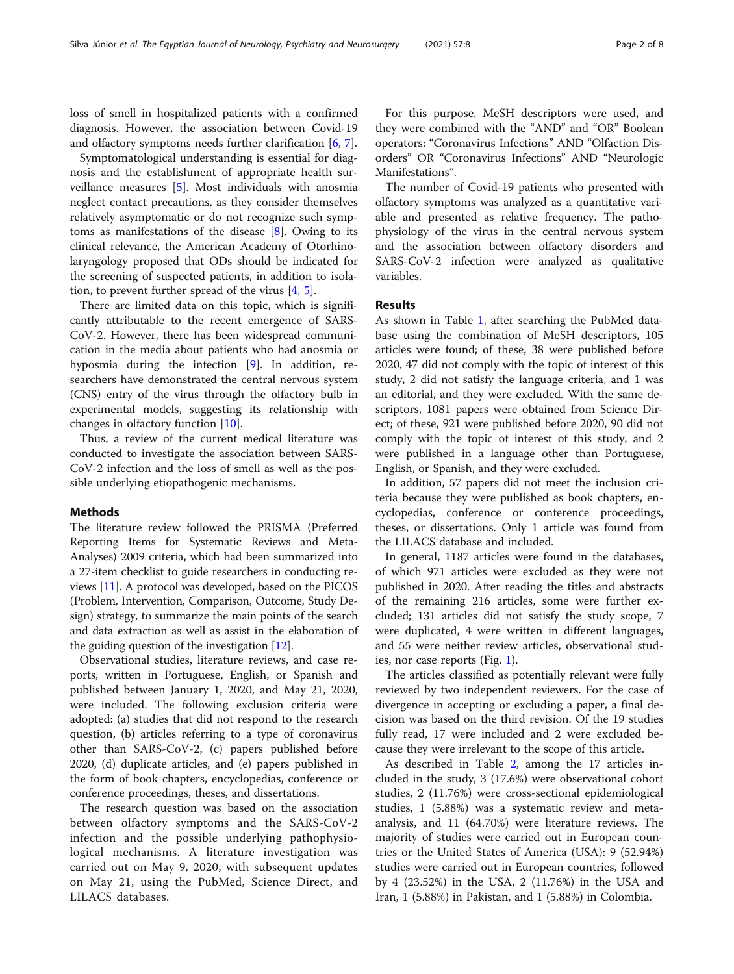loss of smell in hospitalized patients with a confirmed diagnosis. However, the association between Covid-19 and olfactory symptoms needs further clarification [[6,](#page-6-0) [7\]](#page-6-0).

Symptomatological understanding is essential for diagnosis and the establishment of appropriate health surveillance measures [\[5](#page-6-0)]. Most individuals with anosmia neglect contact precautions, as they consider themselves relatively asymptomatic or do not recognize such symptoms as manifestations of the disease  $[8]$  $[8]$  $[8]$ . Owing to its clinical relevance, the American Academy of Otorhinolaryngology proposed that ODs should be indicated for the screening of suspected patients, in addition to isolation, to prevent further spread of the virus  $[4, 5]$  $[4, 5]$  $[4, 5]$  $[4, 5]$ .

There are limited data on this topic, which is significantly attributable to the recent emergence of SARS-CoV-2. However, there has been widespread communication in the media about patients who had anosmia or hyposmia during the infection [[9\]](#page-6-0). In addition, researchers have demonstrated the central nervous system (CNS) entry of the virus through the olfactory bulb in experimental models, suggesting its relationship with changes in olfactory function [[10\]](#page-6-0).

Thus, a review of the current medical literature was conducted to investigate the association between SARS-CoV-2 infection and the loss of smell as well as the possible underlying etiopathogenic mechanisms.

## Methods

The literature review followed the PRISMA (Preferred Reporting Items for Systematic Reviews and Meta-Analyses) 2009 criteria, which had been summarized into a 27-item checklist to guide researchers in conducting reviews [\[11\]](#page-6-0). A protocol was developed, based on the PICOS (Problem, Intervention, Comparison, Outcome, Study Design) strategy, to summarize the main points of the search and data extraction as well as assist in the elaboration of the guiding question of the investigation [\[12\]](#page-6-0).

Observational studies, literature reviews, and case reports, written in Portuguese, English, or Spanish and published between January 1, 2020, and May 21, 2020, were included. The following exclusion criteria were adopted: (a) studies that did not respond to the research question, (b) articles referring to a type of coronavirus other than SARS-CoV-2, (c) papers published before 2020, (d) duplicate articles, and (e) papers published in the form of book chapters, encyclopedias, conference or conference proceedings, theses, and dissertations.

The research question was based on the association between olfactory symptoms and the SARS-CoV-2 infection and the possible underlying pathophysiological mechanisms. A literature investigation was carried out on May 9, 2020, with subsequent updates on May 21, using the PubMed, Science Direct, and LILACS databases.

For this purpose, MeSH descriptors were used, and they were combined with the "AND" and "OR" Boolean operators: "Coronavirus Infections" AND "Olfaction Disorders" OR "Coronavirus Infections" AND "Neurologic Manifestations".

The number of Covid-19 patients who presented with olfactory symptoms was analyzed as a quantitative variable and presented as relative frequency. The pathophysiology of the virus in the central nervous system and the association between olfactory disorders and SARS-CoV-2 infection were analyzed as qualitative variables.

## Results

As shown in Table [1,](#page-2-0) after searching the PubMed database using the combination of MeSH descriptors, 105 articles were found; of these, 38 were published before 2020, 47 did not comply with the topic of interest of this study, 2 did not satisfy the language criteria, and 1 was an editorial, and they were excluded. With the same descriptors, 1081 papers were obtained from Science Direct; of these, 921 were published before 2020, 90 did not comply with the topic of interest of this study, and 2 were published in a language other than Portuguese, English, or Spanish, and they were excluded.

In addition, 57 papers did not meet the inclusion criteria because they were published as book chapters, encyclopedias, conference or conference proceedings, theses, or dissertations. Only 1 article was found from the LILACS database and included.

In general, 1187 articles were found in the databases, of which 971 articles were excluded as they were not published in 2020. After reading the titles and abstracts of the remaining 216 articles, some were further excluded; 131 articles did not satisfy the study scope, 7 were duplicated, 4 were written in different languages, and 55 were neither review articles, observational studies, nor case reports (Fig. [1](#page-2-0)).

The articles classified as potentially relevant were fully reviewed by two independent reviewers. For the case of divergence in accepting or excluding a paper, a final decision was based on the third revision. Of the 19 studies fully read, 17 were included and 2 were excluded because they were irrelevant to the scope of this article.

As described in Table [2](#page-3-0), among the 17 articles included in the study, 3 (17.6%) were observational cohort studies, 2 (11.76%) were cross-sectional epidemiological studies, 1 (5.88%) was a systematic review and metaanalysis, and 11 (64.70%) were literature reviews. The majority of studies were carried out in European countries or the United States of America (USA): 9 (52.94%) studies were carried out in European countries, followed by 4 (23.52%) in the USA, 2 (11.76%) in the USA and Iran, 1 (5.88%) in Pakistan, and 1 (5.88%) in Colombia.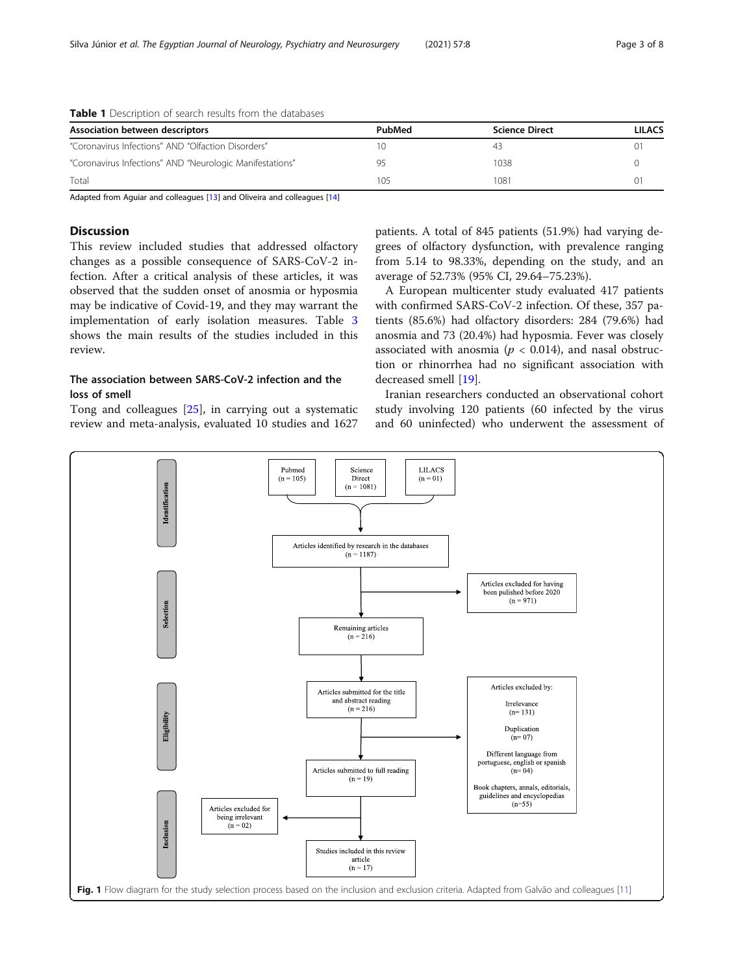| PubMed | <b>Science Direct</b> | <b>LILACS</b> |
|--------|-----------------------|---------------|
|        |                       | 0.            |
|        | 1038                  |               |
| 105    | 1081                  |               |
|        |                       |               |

<span id="page-2-0"></span>

| Table 1 Description of search results from the databases |  |  |  |  |  |  |
|----------------------------------------------------------|--|--|--|--|--|--|
|----------------------------------------------------------|--|--|--|--|--|--|

Adapted from Aguiar and colleagues [[13\]](#page-6-0) and Oliveira and colleagues [[14\]](#page-6-0)

## Discussion

This review included studies that addressed olfactory changes as a possible consequence of SARS-CoV-2 infection. After a critical analysis of these articles, it was observed that the sudden onset of anosmia or hyposmia may be indicative of Covid-19, and they may warrant the implementation of early isolation measures. Table [3](#page-4-0) shows the main results of the studies included in this review.

## The association between SARS-CoV-2 infection and the loss of smell

Tong and colleagues [[25\]](#page-7-0), in carrying out a systematic review and meta-analysis, evaluated 10 studies and 1627

patients. A total of 845 patients (51.9%) had varying degrees of olfactory dysfunction, with prevalence ranging from 5.14 to 98.33%, depending on the study, and an average of 52.73% (95% CI, 29.64–75.23%).

A European multicenter study evaluated 417 patients with confirmed SARS-CoV-2 infection. Of these, 357 patients (85.6%) had olfactory disorders: 284 (79.6%) had anosmia and 73 (20.4%) had hyposmia. Fever was closely associated with anosmia ( $p < 0.014$ ), and nasal obstruction or rhinorrhea had no significant association with decreased smell [\[19\]](#page-6-0).

Iranian researchers conducted an observational cohort study involving 120 patients (60 infected by the virus and 60 uninfected) who underwent the assessment of

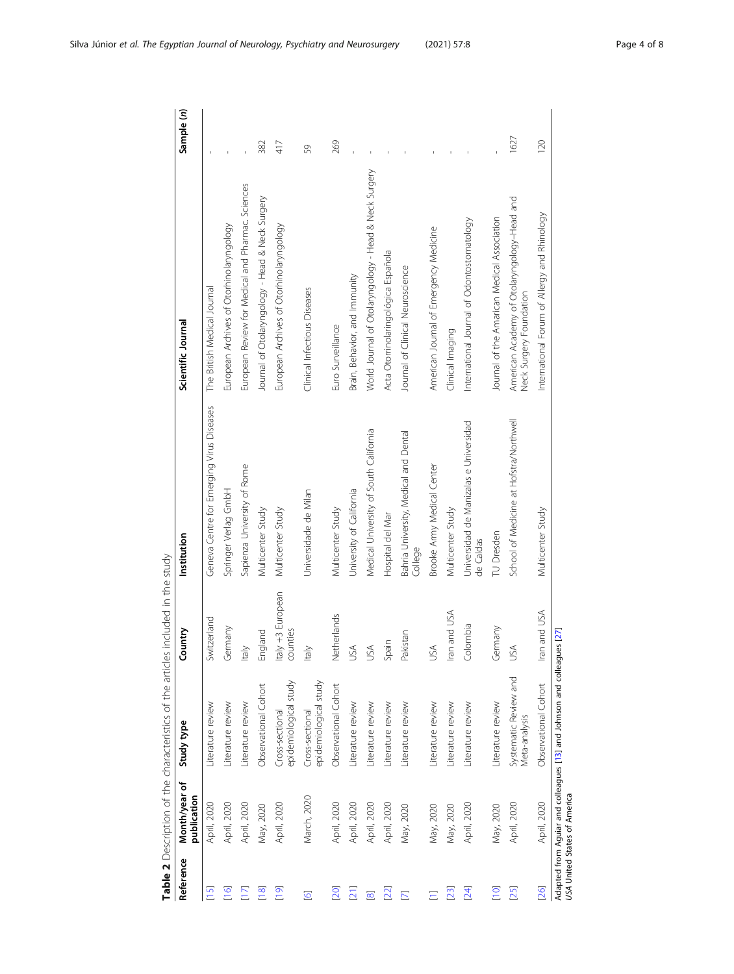| j                                        |  |
|------------------------------------------|--|
|                                          |  |
| き クユー スコアクアニアクニ しりごしごせっ クユーナク しりぎじょうすうこう |  |
|                                          |  |
| )<br>J                                   |  |
|                                          |  |
|                                          |  |
|                                          |  |
| -<br>)<br>)<br>)                         |  |
|                                          |  |
|                                          |  |
| j                                        |  |
|                                          |  |
| ,<br>)                                   |  |
|                                          |  |
|                                          |  |
| .<br>.<br>.<br>.                         |  |
|                                          |  |
|                                          |  |
| )<br>)                                   |  |
|                                          |  |
|                                          |  |
|                                          |  |
|                                          |  |
|                                          |  |
| リソーシ<br>$\overline{\phantom{a}}$         |  |
|                                          |  |
| l                                        |  |
|                                          |  |
|                                          |  |
|                                          |  |

| Reference               | Month/year of<br>publication | Study type                                                              | Country                      | Institution                                         | Scientific Journal                                                     | Sample (n) |
|-------------------------|------------------------------|-------------------------------------------------------------------------|------------------------------|-----------------------------------------------------|------------------------------------------------------------------------|------------|
| $[15]$                  | April, 2020                  | Literature review                                                       | Switzerland                  | Geneva Centre for Emerging Virus Diseases           | The British Medical Journal                                            |            |
| $[16]$                  | April, 2020                  | Literature review                                                       | Germany                      | Springer Verlag GmbH                                | European Archives of Otorhinolaryngology                               |            |
|                         | April, 2020                  | Literature review                                                       | dh                           | Sapienza University of Rome                         | European Review for Medical and Pharmac. Sciences                      |            |
| $[18]$                  | May, 2020                    | Observational Cohort                                                    | England                      | Multicenter Study                                   | Journal of Otolaryngology - Head & Neck Surgery                        | 382        |
| [19]                    | April, 2020                  | epidemiological study<br>Cross-sectional                                | taly +3 European<br>counties | Multicenter Study                                   | European Archives of Otorhinolaryngology                               | 417        |
| $\overline{6}$          | March, 2020                  | epidemiological study<br>Cross-sectional                                | taly                         | Universidade de Milan                               | Clinical Infectious Diseases                                           | 59         |
| [20]                    | April, 2020                  | Observational Cohort                                                    | <b>Jetherlands</b>           | Multicenter Study                                   | Euro Surveillance                                                      | 269        |
| $\overline{21}$         | April, 2020                  | Literature review                                                       | JSA                          | University of California                            | Brain, Behavior, and Immunity                                          |            |
| $\infty$                | April, 2020                  | Literature review                                                       | JSA                          | Medical University of South California              | World Journal of Otolaryngology - Head & Neck Surgery                  |            |
| $[22]$                  | April, 2020                  | Literature review                                                       | pain                         | Hospital del Mar                                    | Acta Otorrinolaringológica Española                                    |            |
| $\overline{\mathbb{Z}}$ | May, 2020                    | Literature review                                                       | Pakistan                     | Bahria University, Medical and Dental<br>College    | Journal of Clinical Neuroscience                                       |            |
|                         | May, 2020                    | Literature review                                                       | JSA                          | Brooke Army Medical Center                          | American Journal of Emergency Medicine                                 |            |
| $[23]$                  | May, 2020                    | literature review                                                       | ran and USA                  | Multicenter Study                                   | Clinical Imaging                                                       |            |
| [24]                    | April, 2020                  | Literature review                                                       | <b>Colombia</b>              | Universidad de Manizalas e Universidad<br>de Caldas | International Journal of Odontostomatology                             |            |
| $\overline{C}$          | May, 2020                    | Literature review                                                       | Germany                      | TU Dresden                                          | Journal of the Amarican Medical Association                            |            |
| [25]                    | April, 2020                  | Systematic Review and<br>Meta-analysis                                  | JSA                          | School of Medicine at Hofstra/Northwell             | American Academy of Otolaryngology-Head and<br>Neck Surgery Foundation | 1627       |
| [26]                    | April, 2020                  | Observational Cohort                                                    | ran and USA                  | Multicenter Study                                   | International Forum of Allergy and Rhinology                           | 120        |
|                         | USA United States of America | Adapted from Aguiar and colleagues [13] and Johnson and colleagues [27] |                              |                                                     |                                                                        |            |

<span id="page-3-0"></span>Silva Júnior et al. The Egyptian Journal of Neurology, Psychiatry and Neurosurgery (2021) 57:8 Page 4 of 8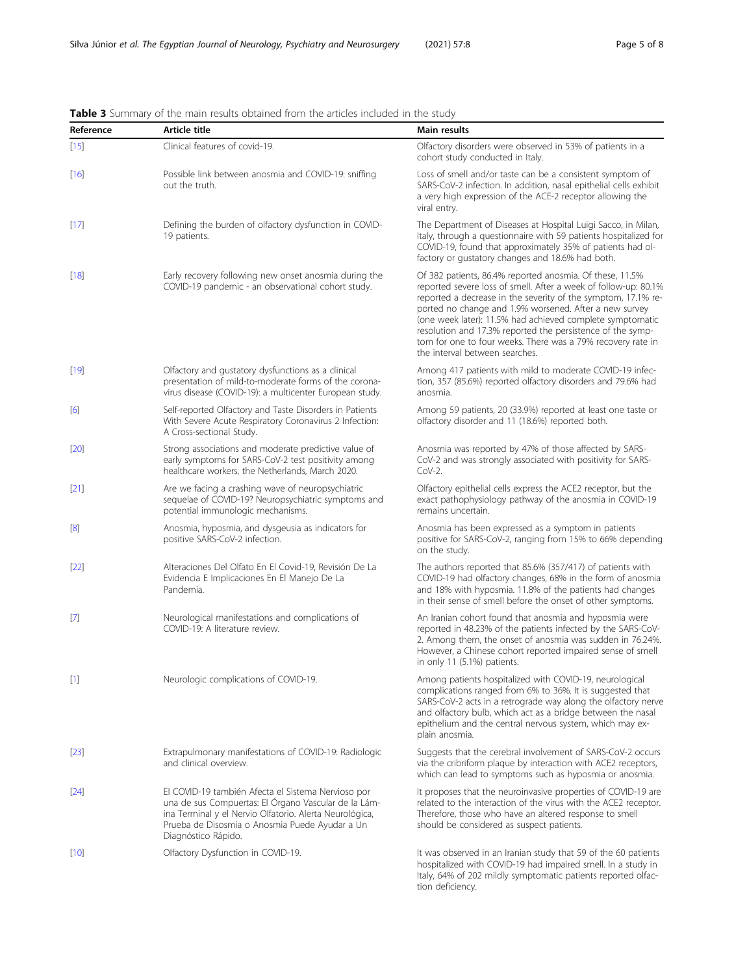| Reference | Article title                                                                                                                                                                                                                                  | Main results                                                                                                                                                                                                                                                                                                                                                                                                                                                                       |
|-----------|------------------------------------------------------------------------------------------------------------------------------------------------------------------------------------------------------------------------------------------------|------------------------------------------------------------------------------------------------------------------------------------------------------------------------------------------------------------------------------------------------------------------------------------------------------------------------------------------------------------------------------------------------------------------------------------------------------------------------------------|
| $[15]$    | Clinical features of covid-19.                                                                                                                                                                                                                 | Olfactory disorders were observed in 53% of patients in a<br>cohort study conducted in Italy.                                                                                                                                                                                                                                                                                                                                                                                      |
| $[16]$    | Possible link between anosmia and COVID-19: sniffing<br>out the truth.                                                                                                                                                                         | Loss of smell and/or taste can be a consistent symptom of<br>SARS-CoV-2 infection. In addition, nasal epithelial cells exhibit<br>a very high expression of the ACE-2 receptor allowing the<br>viral entry.                                                                                                                                                                                                                                                                        |
| $[17]$    | Defining the burden of olfactory dysfunction in COVID-<br>19 patients.                                                                                                                                                                         | The Department of Diseases at Hospital Luigi Sacco, in Milan,<br>Italy, through a questionnaire with 59 patients hospitalized for<br>COVID-19, found that approximately 35% of patients had ol-<br>factory or gustatory changes and 18.6% had both.                                                                                                                                                                                                                                |
| $[18]$    | Early recovery following new onset anosmia during the<br>COVID-19 pandemic - an observational cohort study.                                                                                                                                    | Of 382 patients, 86.4% reported anosmia. Of these, 11.5%<br>reported severe loss of smell. After a week of follow-up: 80.1%<br>reported a decrease in the severity of the symptom, 17.1% re-<br>ported no change and 1.9% worsened. After a new survey<br>(one week later): 11.5% had achieved complete symptomatic<br>resolution and 17.3% reported the persistence of the symp-<br>tom for one to four weeks. There was a 79% recovery rate in<br>the interval between searches. |
| $[19]$    | Olfactory and gustatory dysfunctions as a clinical<br>presentation of mild-to-moderate forms of the corona-<br>virus disease (COVID-19): a multicenter European study.                                                                         | Among 417 patients with mild to moderate COVID-19 infec-<br>tion, 357 (85.6%) reported olfactory disorders and 79.6% had<br>anosmia.                                                                                                                                                                                                                                                                                                                                               |
| [6]       | Self-reported Olfactory and Taste Disorders in Patients<br>With Severe Acute Respiratory Coronavirus 2 Infection:<br>A Cross-sectional Study.                                                                                                  | Among 59 patients, 20 (33.9%) reported at least one taste or<br>olfactory disorder and 11 (18.6%) reported both.                                                                                                                                                                                                                                                                                                                                                                   |
| $[20]$    | Strong associations and moderate predictive value of<br>early symptoms for SARS-CoV-2 test positivity among<br>healthcare workers, the Netherlands, March 2020.                                                                                | Anosmia was reported by 47% of those affected by SARS-<br>CoV-2 and was strongly associated with positivity for SARS-<br>$COV-2.$                                                                                                                                                                                                                                                                                                                                                  |
| [21]      | Are we facing a crashing wave of neuropsychiatric<br>sequelae of COVID-19? Neuropsychiatric symptoms and<br>potential immunologic mechanisms.                                                                                                  | Olfactory epithelial cells express the ACE2 receptor, but the<br>exact pathophysiology pathway of the anosmia in COVID-19<br>remains uncertain.                                                                                                                                                                                                                                                                                                                                    |
| [8]       | Anosmia, hyposmia, and dysgeusia as indicators for<br>positive SARS-CoV-2 infection.                                                                                                                                                           | Anosmia has been expressed as a symptom in patients<br>positive for SARS-CoV-2, ranging from 15% to 66% depending<br>on the study.                                                                                                                                                                                                                                                                                                                                                 |
| $[22]$    | Alteraciones Del Olfato En El Covid-19, Revisión De La<br>Evidencia E Implicaciones En El Manejo De La<br>Pandemia.                                                                                                                            | The authors reported that 85.6% (357/417) of patients with<br>COVID-19 had olfactory changes, 68% in the form of anosmia<br>and 18% with hyposmia. 11.8% of the patients had changes<br>in their sense of smell before the onset of other symptoms.                                                                                                                                                                                                                                |
| $[7]$     | Neurological manifestations and complications of<br>COVID-19: A literature review.                                                                                                                                                             | An Iranian cohort found that anosmia and hyposmia were<br>reported in 48.23% of the patients infected by the SARS-CoV-<br>2. Among them, the onset of anosmia was sudden in 76.24%.<br>However, a Chinese cohort reported impaired sense of smell<br>in only 11 (5.1%) patients.                                                                                                                                                                                                   |
| $[1]$     | Neurologic complications of COVID-19.                                                                                                                                                                                                          | Among patients hospitalized with COVID-19, neurological<br>complications ranged from 6% to 36%. It is suggested that<br>SARS-CoV-2 acts in a retrograde way along the olfactory nerve<br>and olfactory bulb, which act as a bridge between the nasal<br>epithelium and the central nervous system, which may ex-<br>plain anosmia.                                                                                                                                                 |
| $[23]$    | Extrapulmonary manifestations of COVID-19: Radiologic<br>and clinical overview.                                                                                                                                                                | Suggests that the cerebral involvement of SARS-CoV-2 occurs<br>via the cribriform plaque by interaction with ACE2 receptors,<br>which can lead to symptoms such as hyposmia or anosmia.                                                                                                                                                                                                                                                                                            |
| $[24]$    | El COVID-19 también Afecta el Sistema Nervioso por<br>una de sus Compuertas: El Órgano Vascular de la Lám-<br>ina Terminal y el Nervio Olfatorio. Alerta Neurológica,<br>Prueba de Disosmia o Anosmia Puede Ayudar a Un<br>Diagnóstico Rápido. | It proposes that the neuroinvasive properties of COVID-19 are<br>related to the interaction of the virus with the ACE2 receptor.<br>Therefore, those who have an altered response to smell<br>should be considered as suspect patients.                                                                                                                                                                                                                                            |
| $[10]$    | Olfactory Dysfunction in COVID-19.                                                                                                                                                                                                             | It was observed in an Iranian study that 59 of the 60 patients<br>hospitalized with COVID-19 had impaired smell. In a study in<br>Italy, 64% of 202 mildly symptomatic patients reported olfac-<br>tion deficiency.                                                                                                                                                                                                                                                                |

<span id="page-4-0"></span>Table 3 Summary of the main results obtained from the articles included in the study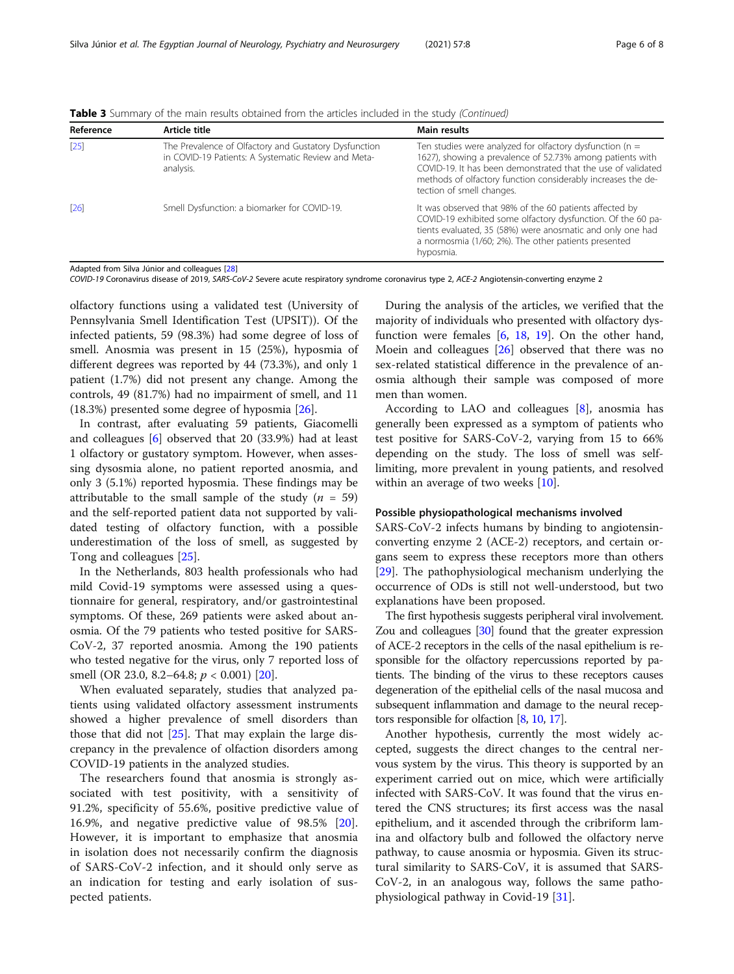| Reference | Article title                                                                                                             | <b>Main results</b>                                                                                                                                                                                                                                                                   |
|-----------|---------------------------------------------------------------------------------------------------------------------------|---------------------------------------------------------------------------------------------------------------------------------------------------------------------------------------------------------------------------------------------------------------------------------------|
| $[25]$    | The Prevalence of Olfactory and Gustatory Dysfunction<br>in COVID-19 Patients: A Systematic Review and Meta-<br>analysis. | Ten studies were analyzed for olfactory dysfunction ( $n =$<br>1627), showing a prevalence of 52.73% among patients with<br>COVID-19. It has been demonstrated that the use of validated<br>methods of olfactory function considerably increases the de-<br>tection of smell changes. |
| $[26]$    | Smell Dysfunction: a biomarker for COVID-19.                                                                              | It was observed that 98% of the 60 patients affected by<br>COVID-19 exhibited some olfactory dysfunction. Of the 60 pa-<br>tients evaluated, 35 (58%) were anosmatic and only one had<br>a normosmia (1/60; 2%). The other patients presented<br>hyposmia.                            |

Table 3 Summary of the main results obtained from the articles included in the study (Continued)

Adapted from Silva Júnior and colleagues [[28\]](#page-7-0)

COVID-19 Coronavirus disease of 2019, SARS-CoV-2 Severe acute respiratory syndrome coronavirus type 2, ACE-2 Angiotensin-converting enzyme 2

olfactory functions using a validated test (University of Pennsylvania Smell Identification Test (UPSIT)). Of the infected patients, 59 (98.3%) had some degree of loss of smell. Anosmia was present in 15 (25%), hyposmia of different degrees was reported by 44 (73.3%), and only 1 patient (1.7%) did not present any change. Among the controls, 49 (81.7%) had no impairment of smell, and 11 (18.3%) presented some degree of hyposmia [\[26](#page-7-0)].

In contrast, after evaluating 59 patients, Giacomelli and colleagues [[6\]](#page-6-0) observed that 20 (33.9%) had at least 1 olfactory or gustatory symptom. However, when assessing dysosmia alone, no patient reported anosmia, and only 3 (5.1%) reported hyposmia. These findings may be attributable to the small sample of the study  $(n = 59)$ and the self-reported patient data not supported by validated testing of olfactory function, with a possible underestimation of the loss of smell, as suggested by Tong and colleagues [\[25\]](#page-7-0).

In the Netherlands, 803 health professionals who had mild Covid-19 symptoms were assessed using a questionnaire for general, respiratory, and/or gastrointestinal symptoms. Of these, 269 patients were asked about anosmia. Of the 79 patients who tested positive for SARS-CoV-2, 37 reported anosmia. Among the 190 patients who tested negative for the virus, only 7 reported loss of smell (OR 23.0, 8.2–64.8;  $p < 0.001$ ) [\[20\]](#page-7-0).

When evaluated separately, studies that analyzed patients using validated olfactory assessment instruments showed a higher prevalence of smell disorders than those that did not  $[25]$  $[25]$ . That may explain the large discrepancy in the prevalence of olfaction disorders among COVID-19 patients in the analyzed studies.

The researchers found that anosmia is strongly associated with test positivity, with a sensitivity of 91.2%, specificity of 55.6%, positive predictive value of 16.9%, and negative predictive value of 98.5% [\[20](#page-7-0)]. However, it is important to emphasize that anosmia in isolation does not necessarily confirm the diagnosis of SARS-CoV-2 infection, and it should only serve as an indication for testing and early isolation of suspected patients.

During the analysis of the articles, we verified that the majority of individuals who presented with olfactory dysfunction were females [\[6](#page-6-0), [18,](#page-6-0) [19](#page-6-0)]. On the other hand, Moein and colleagues [[26](#page-7-0)] observed that there was no sex-related statistical difference in the prevalence of anosmia although their sample was composed of more men than women.

According to LAO and colleagues [\[8](#page-6-0)], anosmia has generally been expressed as a symptom of patients who test positive for SARS-CoV-2, varying from 15 to 66% depending on the study. The loss of smell was selflimiting, more prevalent in young patients, and resolved within an average of two weeks [\[10\]](#page-6-0).

## Possible physiopathological mechanisms involved

SARS-CoV-2 infects humans by binding to angiotensinconverting enzyme 2 (ACE-2) receptors, and certain organs seem to express these receptors more than others [[29\]](#page-7-0). The pathophysiological mechanism underlying the occurrence of ODs is still not well-understood, but two explanations have been proposed.

The first hypothesis suggests peripheral viral involvement. Zou and colleagues [[30](#page-7-0)] found that the greater expression of ACE-2 receptors in the cells of the nasal epithelium is responsible for the olfactory repercussions reported by patients. The binding of the virus to these receptors causes degeneration of the epithelial cells of the nasal mucosa and subsequent inflammation and damage to the neural receptors responsible for olfaction [\[8,](#page-6-0) [10,](#page-6-0) [17\]](#page-6-0).

Another hypothesis, currently the most widely accepted, suggests the direct changes to the central nervous system by the virus. This theory is supported by an experiment carried out on mice, which were artificially infected with SARS-CoV. It was found that the virus entered the CNS structures; its first access was the nasal epithelium, and it ascended through the cribriform lamina and olfactory bulb and followed the olfactory nerve pathway, to cause anosmia or hyposmia. Given its structural similarity to SARS-CoV, it is assumed that SARS-CoV-2, in an analogous way, follows the same pathophysiological pathway in Covid-19 [\[31](#page-7-0)].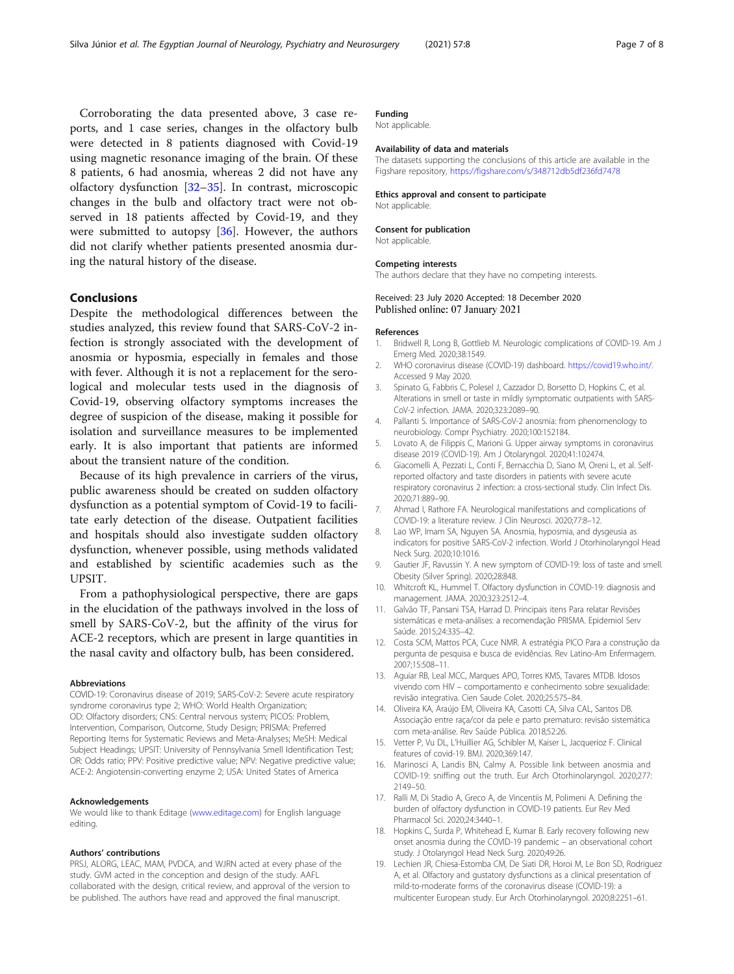<span id="page-6-0"></span>Corroborating the data presented above, 3 case reports, and 1 case series, changes in the olfactory bulb were detected in 8 patients diagnosed with Covid-19 using magnetic resonance imaging of the brain. Of these 8 patients, 6 had anosmia, whereas 2 did not have any olfactory dysfunction [\[32](#page-7-0)–[35](#page-7-0)]. In contrast, microscopic changes in the bulb and olfactory tract were not observed in 18 patients affected by Covid-19, and they were submitted to autopsy [[36\]](#page-7-0). However, the authors did not clarify whether patients presented anosmia during the natural history of the disease.

## Conclusions

Despite the methodological differences between the studies analyzed, this review found that SARS-CoV-2 infection is strongly associated with the development of anosmia or hyposmia, especially in females and those with fever. Although it is not a replacement for the serological and molecular tests used in the diagnosis of Covid-19, observing olfactory symptoms increases the degree of suspicion of the disease, making it possible for isolation and surveillance measures to be implemented early. It is also important that patients are informed about the transient nature of the condition.

Because of its high prevalence in carriers of the virus, public awareness should be created on sudden olfactory dysfunction as a potential symptom of Covid-19 to facilitate early detection of the disease. Outpatient facilities and hospitals should also investigate sudden olfactory dysfunction, whenever possible, using methods validated and established by scientific academies such as the UPSIT.

From a pathophysiological perspective, there are gaps in the elucidation of the pathways involved in the loss of smell by SARS-CoV-2, but the affinity of the virus for ACE-2 receptors, which are present in large quantities in the nasal cavity and olfactory bulb, has been considered.

#### **Abbreviations**

COVID-19: Coronavirus disease of 2019; SARS-CoV-2: Severe acute respiratory syndrome coronavirus type 2; WHO: World Health Organization; OD: Olfactory disorders; CNS: Central nervous system; PICOS: Problem, Intervention, Comparison, Outcome, Study Design; PRISMA: Preferred Reporting Items for Systematic Reviews and Meta-Analyses; MeSH: Medical Subject Headings; UPSIT: University of Pennsylvania Smell Identification Test; OR: Odds ratio; PPV: Positive predictive value; NPV: Negative predictive value; ACE-2: Angiotensin-converting enzyme 2; USA: United States of America

#### Acknowledgements

We would like to thank Editage ([www.editage.com\)](http://www.editage.com) for English language editing.

### Authors' contributions

PRSJ, ALORG, LEAC, MAM, PVDCA, and WJRN acted at every phase of the study. GVM acted in the conception and design of the study. AAFL collaborated with the design, critical review, and approval of the version to be published. The authors have read and approved the final manuscript.

## Funding

Not applicable.

#### Availability of data and materials

The datasets supporting the conclusions of this article are available in the Figshare repository, <https://figshare.com/s/348712db5df236fd7478>

## Ethics approval and consent to participate

Not applicable.

## Consent for publication

Not applicable.

#### Competing interests

The authors declare that they have no competing interests.

## Received: 23 July 2020 Accepted: 18 December 2020<br>Published online: 07 January 2021

#### References

- 1. Bridwell R, Long B, Gottlieb M. Neurologic complications of COVID-19. Am J Emerg Med. 2020;38:1549.
- 2. WHO coronavirus disease (COVID-19) dashboard. [https://covid19.who.int/.](https://covid19.who.int/) Accessed 9 May 2020.
- 3. Spinato G, Fabbris C, Polesel J, Cazzador D, Borsetto D, Hopkins C, et al. Alterations in smell or taste in mildly symptomatic outpatients with SARS-CoV-2 infection. JAMA. 2020;323:2089–90.
- 4. Pallanti S. Importance of SARS-CoV-2 anosmia: from phenomenology to neurobiology. Compr Psychiatry. 2020;100:152184.
- 5. Lovato A, de Filippis C, Marioni G. Upper airway symptoms in coronavirus disease 2019 (COVID-19). Am J Otolaryngol. 2020;41:102474.
- 6. Giacomelli A, Pezzati L, Conti F, Bernacchia D, Siano M, Oreni L, et al. Selfreported olfactory and taste disorders in patients with severe acute respiratory coronavirus 2 infection: a cross-sectional study. Clin Infect Dis. 2020;71:889–90.
- 7. Ahmad I, Rathore FA. Neurological manifestations and complications of COVID-19: a literature review. J Clin Neurosci. 2020;77:8–12.
- 8. Lao WP, Imam SA, Nguyen SA. Anosmia, hyposmia, and dysgeusia as indicators for positive SARS-CoV-2 infection. World J Otorhinolaryngol Head Neck Surg. 2020;10:1016.
- 9. Gautier JF, Ravussin Y. A new symptom of COVID-19: loss of taste and smell. Obesity (Silver Spring). 2020;28:848.
- 10. Whitcroft KL, Hummel T. Olfactory dysfunction in COVID-19: diagnosis and management. JAMA. 2020;323:2512–4.
- 11. Galvão TF, Pansani TSA, Harrad D. Principais itens Para relatar Revisões sistemáticas e meta-análises: a recomendação PRISMA. Epidemiol Serv Saúde. 2015;24:335–42.
- 12. Costa SCM, Mattos PCA, Cuce NMR. A estratégia PICO Para a construção da pergunta de pesquisa e busca de evidências. Rev Latino-Am Enfermagem. 2007;15:508–11.
- 13. Aguiar RB, Leal MCC, Marques APO, Torres KMS, Tavares MTDB. Idosos vivendo com HIV – comportamento e conhecimento sobre sexualidade: revisão integrativa. Cien Saude Colet. 2020;25:575–84.
- 14. Oliveira KA, Araújo EM, Oliveira KA, Casotti CA, Silva CAL, Santos DB. Associação entre raça/cor da pele e parto prematuro: revisão sistemática com meta-análise. Rev Saúde Pública. 2018;52:26.
- 15. Vetter P, Vu DL, L'Huillier AG, Schibler M, Kaiser L, Jacquerioz F. Clinical features of covid-19. BMJ. 2020;369:147.
- 16. Marinosci A, Landis BN, Calmy A. Possible link between anosmia and COVID-19: sniffing out the truth. Eur Arch Otorhinolaryngol. 2020;277: 2149–50.
- 17. Ralli M, Di Stadio A, Greco A, de Vincentiis M, Polimeni A. Defining the burden of olfactory dysfunction in COVID-19 patients. Eur Rev Med Pharmacol Sci. 2020;24:3440–1.
- 18. Hopkins C, Surda P, Whitehead E, Kumar B. Early recovery following new onset anosmia during the COVID-19 pandemic – an observational cohort study. J Otolaryngol Head Neck Surg. 2020;49:26.
- 19. Lechien JR, Chiesa-Estomba CM, De Siati DR, Horoi M, Le Bon SD, Rodriguez A, et al. Olfactory and gustatory dysfunctions as a clinical presentation of mild-to-moderate forms of the coronavirus disease (COVID-19): a multicenter European study. Eur Arch Otorhinolaryngol. 2020;8:2251–61.